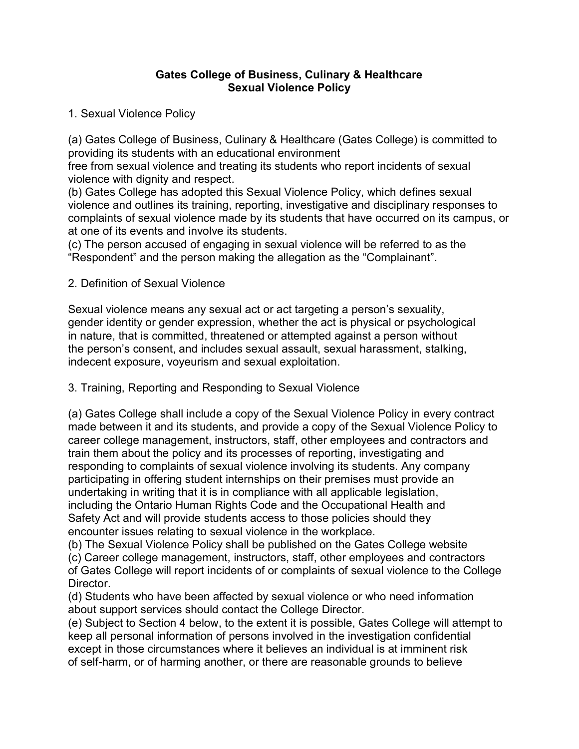### Gates College of Business, Culinary & Healthcare Sexual Violence Policy

1. Sexual Violence Policy

(a) Gates College of Business, Culinary & Healthcare (Gates College) is committed to providing its students with an educational environment

free from sexual violence and treating its students who report incidents of sexual violence with dignity and respect.

(b) Gates College has adopted this Sexual Violence Policy, which defines sexual violence and outlines its training, reporting, investigative and disciplinary responses to complaints of sexual violence made by its students that have occurred on its campus, or at one of its events and involve its students.

(c) The person accused of engaging in sexual violence will be referred to as the "Respondent" and the person making the allegation as the "Complainant".

## 2. Definition of Sexual Violence

Sexual violence means any sexual act or act targeting a person's sexuality, gender identity or gender expression, whether the act is physical or psychological in nature, that is committed, threatened or attempted against a person without the person's consent, and includes sexual assault, sexual harassment, stalking, indecent exposure, voyeurism and sexual exploitation.

## 3. Training, Reporting and Responding to Sexual Violence

(a) Gates College shall include a copy of the Sexual Violence Policy in every contract made between it and its students, and provide a copy of the Sexual Violence Policy to career college management, instructors, staff, other employees and contractors and train them about the policy and its processes of reporting, investigating and responding to complaints of sexual violence involving its students. Any company participating in offering student internships on their premises must provide an undertaking in writing that it is in compliance with all applicable legislation, including the Ontario Human Rights Code and the Occupational Health and Safety Act and will provide students access to those policies should they encounter issues relating to sexual violence in the workplace.

(b) The Sexual Violence Policy shall be published on the Gates College website

(c) Career college management, instructors, staff, other employees and contractors of Gates College will report incidents of or complaints of sexual violence to the College Director.

(d) Students who have been affected by sexual violence or who need information about support services should contact the College Director.

(e) Subject to Section 4 below, to the extent it is possible, Gates College will attempt to keep all personal information of persons involved in the investigation confidential except in those circumstances where it believes an individual is at imminent risk of self-harm, or of harming another, or there are reasonable grounds to believe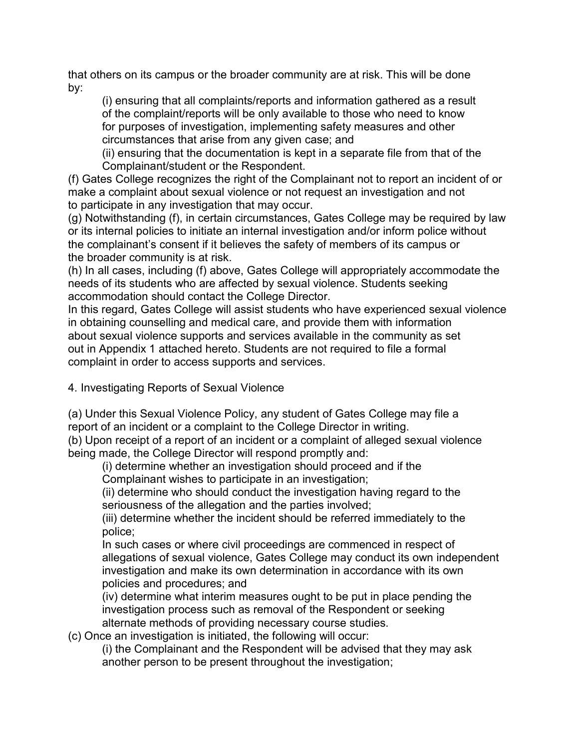that others on its campus or the broader community are at risk. This will be done by:

(i) ensuring that all complaints/reports and information gathered as a result of the complaint/reports will be only available to those who need to know for purposes of investigation, implementing safety measures and other circumstances that arise from any given case; and

(ii) ensuring that the documentation is kept in a separate file from that of the Complainant/student or the Respondent.

(f) Gates College recognizes the right of the Complainant not to report an incident of or make a complaint about sexual violence or not request an investigation and not to participate in any investigation that may occur.

(g) Notwithstanding (f), in certain circumstances, Gates College may be required by law or its internal policies to initiate an internal investigation and/or inform police without the complainant's consent if it believes the safety of members of its campus or the broader community is at risk.

(h) In all cases, including (f) above, Gates College will appropriately accommodate the needs of its students who are affected by sexual violence. Students seeking accommodation should contact the College Director.

In this regard, Gates College will assist students who have experienced sexual violence in obtaining counselling and medical care, and provide them with information about sexual violence supports and services available in the community as set out in Appendix 1 attached hereto. Students are not required to file a formal complaint in order to access supports and services.

4. Investigating Reports of Sexual Violence

(a) Under this Sexual Violence Policy, any student of Gates College may file a report of an incident or a complaint to the College Director in writing.

(b) Upon receipt of a report of an incident or a complaint of alleged sexual violence being made, the College Director will respond promptly and:

(i) determine whether an investigation should proceed and if the Complainant wishes to participate in an investigation;

(ii) determine who should conduct the investigation having regard to the seriousness of the allegation and the parties involved;

(iii) determine whether the incident should be referred immediately to the police;

In such cases or where civil proceedings are commenced in respect of allegations of sexual violence, Gates College may conduct its own independent investigation and make its own determination in accordance with its own policies and procedures; and

(iv) determine what interim measures ought to be put in place pending the investigation process such as removal of the Respondent or seeking alternate methods of providing necessary course studies.

(c) Once an investigation is initiated, the following will occur:

(i) the Complainant and the Respondent will be advised that they may ask another person to be present throughout the investigation;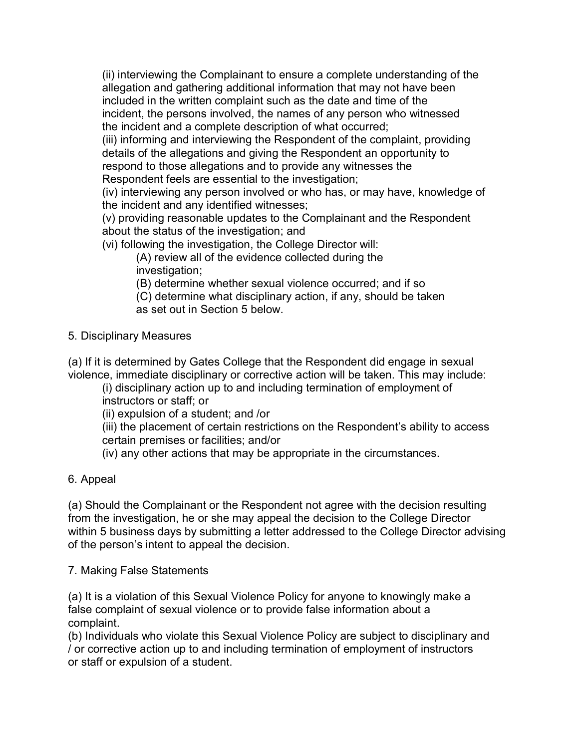(ii) interviewing the Complainant to ensure a complete understanding of the allegation and gathering additional information that may not have been included in the written complaint such as the date and time of the incident, the persons involved, the names of any person who witnessed the incident and a complete description of what occurred;

(iii) informing and interviewing the Respondent of the complaint, providing details of the allegations and giving the Respondent an opportunity to respond to those allegations and to provide any witnesses the Respondent feels are essential to the investigation;

(iv) interviewing any person involved or who has, or may have, knowledge of the incident and any identified witnesses;

(v) providing reasonable updates to the Complainant and the Respondent about the status of the investigation; and

(vi) following the investigation, the College Director will:

(A) review all of the evidence collected during the investigation;

(B) determine whether sexual violence occurred; and if so

(C) determine what disciplinary action, if any, should be taken as set out in Section 5 below.

## 5. Disciplinary Measures

(a) If it is determined by Gates College that the Respondent did engage in sexual violence, immediate disciplinary or corrective action will be taken. This may include:

(i) disciplinary action up to and including termination of employment of instructors or staff; or

(ii) expulsion of a student; and /or

(iii) the placement of certain restrictions on the Respondent's ability to access certain premises or facilities; and/or

(iv) any other actions that may be appropriate in the circumstances.

# 6. Appeal

(a) Should the Complainant or the Respondent not agree with the decision resulting from the investigation, he or she may appeal the decision to the College Director within 5 business days by submitting a letter addressed to the College Director advising of the person's intent to appeal the decision.

7. Making False Statements

(a) It is a violation of this Sexual Violence Policy for anyone to knowingly make a false complaint of sexual violence or to provide false information about a complaint.

(b) Individuals who violate this Sexual Violence Policy are subject to disciplinary and / or corrective action up to and including termination of employment of instructors or staff or expulsion of a student.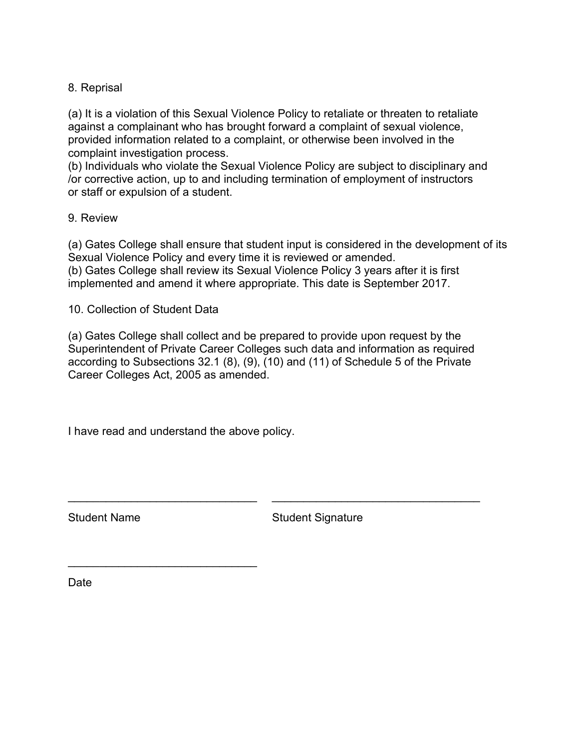## 8. Reprisal

(a) It is a violation of this Sexual Violence Policy to retaliate or threaten to retaliate against a complainant who has brought forward a complaint of sexual violence, provided information related to a complaint, or otherwise been involved in the complaint investigation process.

(b) Individuals who violate the Sexual Violence Policy are subject to disciplinary and /or corrective action, up to and including termination of employment of instructors or staff or expulsion of a student.

### 9. Review

(a) Gates College shall ensure that student input is considered in the development of its Sexual Violence Policy and every time it is reviewed or amended.

(b) Gates College shall review its Sexual Violence Policy 3 years after it is first implemented and amend it where appropriate. This date is September 2017.

### 10. Collection of Student Data

(a) Gates College shall collect and be prepared to provide upon request by the Superintendent of Private Career Colleges such data and information as required according to Subsections 32.1 (8), (9), (10) and (11) of Schedule 5 of the Private Career Colleges Act, 2005 as amended.

 $\mathcal{L}_\text{max}$  , and the contribution of the contribution of the contribution of the contribution of the contribution of the contribution of the contribution of the contribution of the contribution of the contribution of t

I have read and understand the above policy.

 $\mathcal{L}_\text{max}$  , where  $\mathcal{L}_\text{max}$  , we are the set of the set of the set of the set of the set of the set of the set of the set of the set of the set of the set of the set of the set of the set of the set of the set of

Student Name Student Signature

**Date**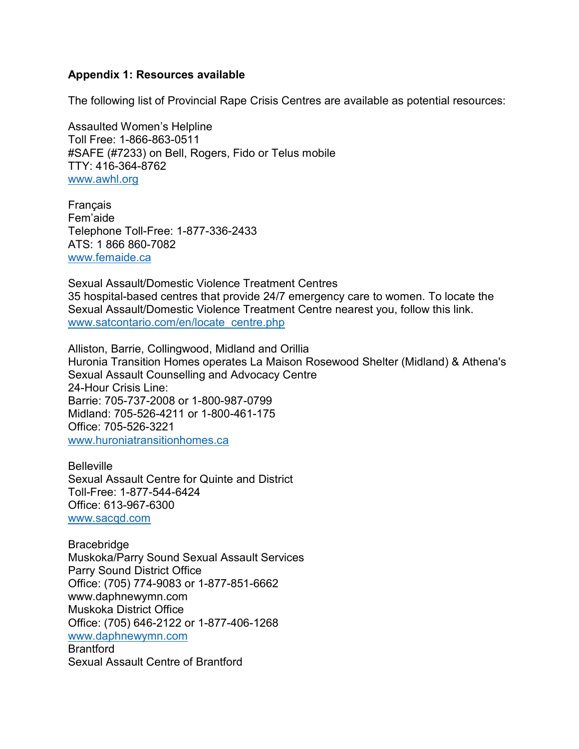#### Appendix 1: Resources available

The following list of Provincial Rape Crisis Centres are available as potential resources:

Assaulted Women's Helpline Toll Free: 1-866-863-0511 #SAFE (#7233) on Bell, Rogers, Fido or Telus mobile TTY: 416-364-8762 www.awhl.org

Français Fem'aide Telephone Toll-Free: 1-877-336-2433 ATS: 1 866 860-7082 www.femaide.ca

Sexual Assault/Domestic Violence Treatment Centres 35 hospital-based centres that provide 24/7 emergency care to women. To locate the Sexual Assault/Domestic Violence Treatment Centre nearest you, follow this link. www.satcontario.com/en/locate\_centre.php

Alliston, Barrie, Collingwood, Midland and Orillia Huronia Transition Homes operates La Maison Rosewood Shelter (Midland) & Athena's Sexual Assault Counselling and Advocacy Centre 24-Hour Crisis Line: Barrie: 705-737-2008 or 1-800-987-0799 Midland: 705-526-4211 or 1-800-461-175 Office: 705-526-3221 www.huroniatransitionhomes.ca

**Belleville** Sexual Assault Centre for Quinte and District Toll-Free: 1-877-544-6424 Office: 613-967-6300 www.sacqd.com

Bracebridge Muskoka/Parry Sound Sexual Assault Services Parry Sound District Office Office: (705) 774-9083 or 1-877-851-6662 www.daphnewymn.com Muskoka District Office Office: (705) 646-2122 or 1-877-406-1268 www.daphnewymn.com **Brantford** Sexual Assault Centre of Brantford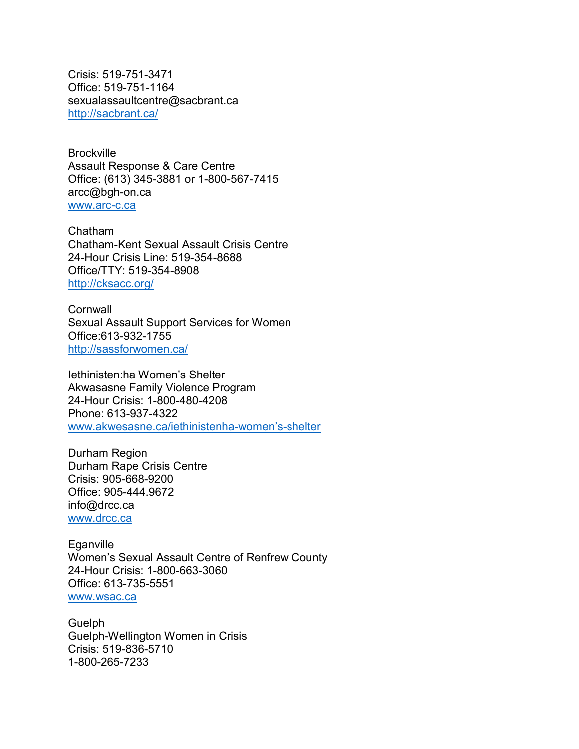Crisis: 519-751-3471 Office: 519-751-1164 sexualassaultcentre@sacbrant.ca http://sacbrant.ca/

**Brockville** Assault Response & Care Centre Office: (613) 345-3881 or 1-800-567-7415 arcc@bgh-on.ca www.arc-c.ca

Chatham Chatham-Kent Sexual Assault Crisis Centre 24-Hour Crisis Line: 519-354-8688 Office/TTY: 519-354-8908 http://cksacc.org/

**Cornwall** Sexual Assault Support Services for Women Office:613-932-1755 http://sassforwomen.ca/

Iethinisten:ha Women's Shelter Akwasasne Family Violence Program 24-Hour Crisis: 1-800-480-4208 Phone: 613-937-4322 www.akwesasne.ca/iethinistenha-women's-shelter

Durham Region Durham Rape Crisis Centre Crisis: 905-668-9200 Office: 905-444.9672 info@drcc.ca www.drcc.ca

**Eganville** Women's Sexual Assault Centre of Renfrew County 24-Hour Crisis: 1-800-663-3060 Office: 613-735-5551 www.wsac.ca

Guelph Guelph-Wellington Women in Crisis Crisis: 519-836-5710 1-800-265-7233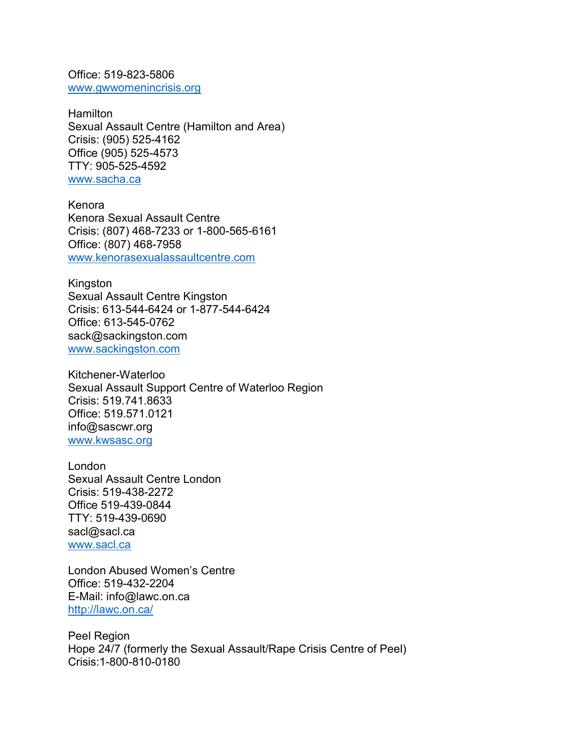Office: 519-823-5806 www.gwwomenincrisis.org

**Hamilton** Sexual Assault Centre (Hamilton and Area) Crisis: (905) 525-4162 Office (905) 525-4573 TTY: 905-525-4592 www.sacha.ca

Kenora Kenora Sexual Assault Centre Crisis: (807) 468-7233 or 1-800-565-6161 Office: (807) 468-7958 www.kenorasexualassaultcentre.com

Kingston Sexual Assault Centre Kingston Crisis: 613-544-6424 or 1-877-544-6424 Office: 613-545-0762 sack@sackingston.com www.sackingston.com

Kitchener-Waterloo Sexual Assault Support Centre of Waterloo Region Crisis: 519.741.8633 Office: 519.571.0121 info@sascwr.org www.kwsasc.org

London Sexual Assault Centre London Crisis: 519-438-2272 Office 519-439-0844 TTY: 519-439-0690 sacl@sacl.ca www.sacl.ca

London Abused Women's Centre Office: 519-432-2204 E-Mail: info@lawc.on.ca http://lawc.on.ca/

Peel Region Hope 24/7 (formerly the Sexual Assault/Rape Crisis Centre of Peel) Crisis:1-800-810-0180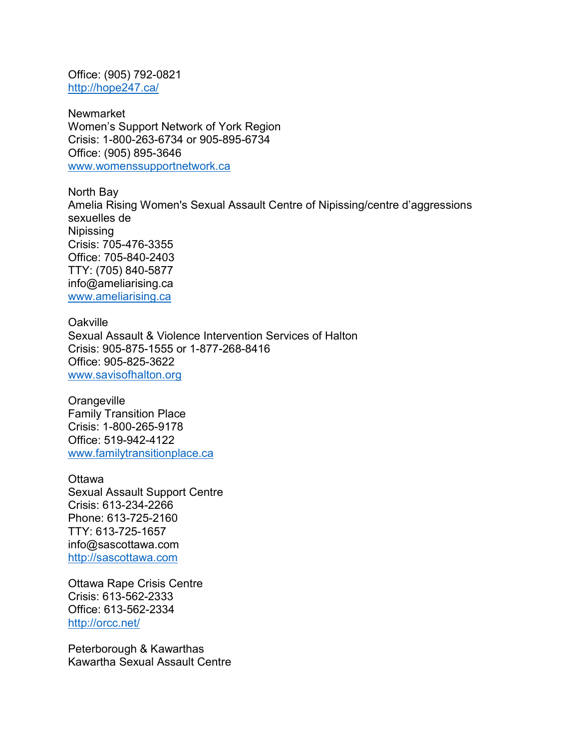Office: (905) 792-0821 http://hope247.ca/

Newmarket Women's Support Network of York Region Crisis: 1-800-263-6734 or 905-895-6734 Office: (905) 895-3646 www.womenssupportnetwork.ca

North Bay Amelia Rising Women's Sexual Assault Centre of Nipissing/centre d'aggressions sexuelles de Nipissing Crisis: 705-476-3355 Office: 705-840-2403 TTY: (705) 840-5877 info@ameliarising.ca www.ameliarising.ca

**Oakville** Sexual Assault & Violence Intervention Services of Halton Crisis: 905-875-1555 or 1-877-268-8416 Office: 905-825-3622 www.savisofhalton.org

**Orangeville** Family Transition Place Crisis: 1-800-265-9178 Office: 519-942-4122 www.familytransitionplace.ca

**Ottawa** Sexual Assault Support Centre Crisis: 613-234-2266 Phone: 613-725-2160 TTY: 613-725-1657 info@sascottawa.com http://sascottawa.com

Ottawa Rape Crisis Centre Crisis: 613-562-2333 Office: 613-562-2334 http://orcc.net/

Peterborough & Kawarthas Kawartha Sexual Assault Centre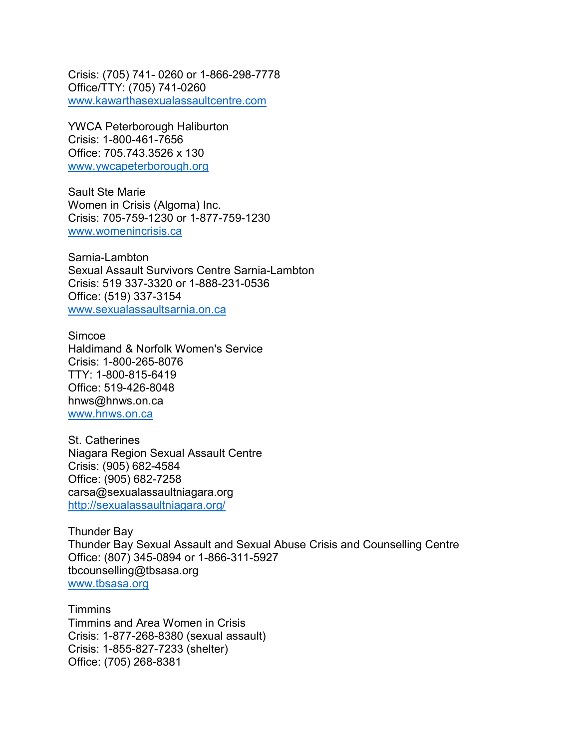Crisis: (705) 741- 0260 or 1-866-298-7778 Office/TTY: (705) 741-0260 www.kawarthasexualassaultcentre.com

YWCA Peterborough Haliburton Crisis: 1-800-461-7656 Office: 705.743.3526 x 130 www.ywcapeterborough.org

Sault Ste Marie Women in Crisis (Algoma) Inc. Crisis: 705-759-1230 or 1-877-759-1230 www.womenincrisis.ca

Sarnia-Lambton Sexual Assault Survivors Centre Sarnia-Lambton Crisis: 519 337-3320 or 1-888-231-0536 Office: (519) 337-3154 www.sexualassaultsarnia.on.ca

Simcoe Haldimand & Norfolk Women's Service Crisis: 1-800-265-8076 TTY: 1-800-815-6419 Office: 519-426-8048 hnws@hnws.on.ca www.hnws.on.ca

St. Catherines Niagara Region Sexual Assault Centre Crisis: (905) 682-4584 Office: (905) 682-7258 carsa@sexualassaultniagara.org http://sexualassaultniagara.org/

Thunder Bay Thunder Bay Sexual Assault and Sexual Abuse Crisis and Counselling Centre Office: (807) 345-0894 or 1-866-311-5927 tbcounselling@tbsasa.org www.tbsasa.org

**Timmins** Timmins and Area Women in Crisis Crisis: 1-877-268-8380 (sexual assault) Crisis: 1-855-827-7233 (shelter) Office: (705) 268-8381